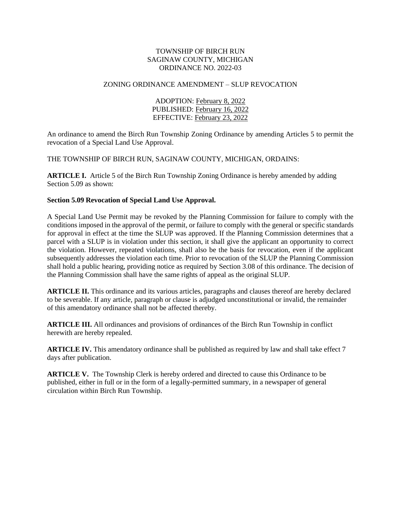## TOWNSHIP OF BIRCH RUN SAGINAW COUNTY, MICHIGAN ORDINANCE NO. 2022-03

## ZONING ORDINANCE AMENDMENT – SLUP REVOCATION

ADOPTION: February 8, 2022 PUBLISHED: February 16, 2022 EFFECTIVE: February 23, 2022

An ordinance to amend the Birch Run Township Zoning Ordinance by amending Articles 5 to permit the revocation of a Special Land Use Approval.

THE TOWNSHIP OF BIRCH RUN, SAGINAW COUNTY, MICHIGAN, ORDAINS:

**ARTICLE I.** Article 5 of the Birch Run Township Zoning Ordinance is hereby amended by adding Section 5.09 as shown:

## **Section 5.09 Revocation of Special Land Use Approval.**

A Special Land Use Permit may be revoked by the Planning Commission for failure to comply with the conditions imposed in the approval of the permit, or failure to comply with the general or specific standards for approval in effect at the time the SLUP was approved. If the Planning Commission determines that a parcel with a SLUP is in violation under this section, it shall give the applicant an opportunity to correct the violation. However, repeated violations, shall also be the basis for revocation, even if the applicant subsequently addresses the violation each time. Prior to revocation of the SLUP the Planning Commission shall hold a public hearing, providing notice as required by Section 3.08 of this ordinance. The decision of the Planning Commission shall have the same rights of appeal as the original SLUP.

**ARTICLE II.** This ordinance and its various articles, paragraphs and clauses thereof are hereby declared to be severable. If any article, paragraph or clause is adjudged unconstitutional or invalid, the remainder of this amendatory ordinance shall not be affected thereby.

**ARTICLE III.** All ordinances and provisions of ordinances of the Birch Run Township in conflict herewith are hereby repealed.

**ARTICLE IV.** This amendatory ordinance shall be published as required by law and shall take effect 7 days after publication.

ARTICLE V. The Township Clerk is hereby ordered and directed to cause this Ordinance to be published, either in full or in the form of a legally-permitted summary, in a newspaper of general circulation within Birch Run Township.